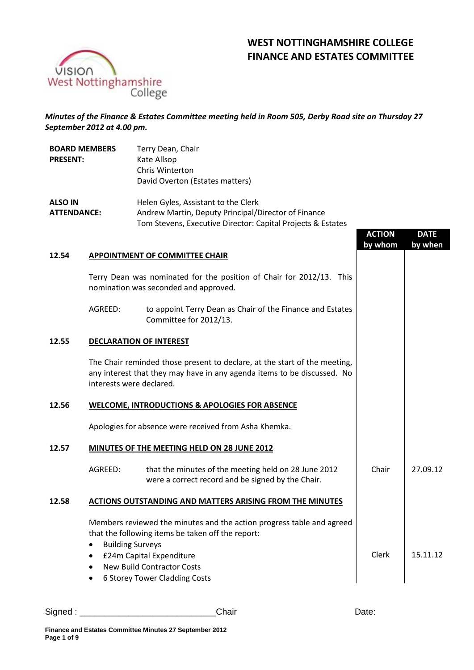# **WEST NOTTINGHAMSHIRE COLLEGE FINANCE AND ESTATES COMMITTEE**



**BOARD MEMBERS** 

*Minutes of the Finance & Estates Committee meeting held in Room 505, Derby Road site on Thursday 27 September 2012 at 4.00 pm.*

Terry Dean, Chair

| <b>PRESENT:</b>                      |                                                                                                               | Kate Allsop<br><b>Chris Winterton</b><br>David Overton (Estates matters)                                                                                                                                                     |               |             |
|--------------------------------------|---------------------------------------------------------------------------------------------------------------|------------------------------------------------------------------------------------------------------------------------------------------------------------------------------------------------------------------------------|---------------|-------------|
| <b>ALSO IN</b><br><b>ATTENDANCE:</b> |                                                                                                               | Helen Gyles, Assistant to the Clerk<br>Andrew Martin, Deputy Principal/Director of Finance<br>Tom Stevens, Executive Director: Capital Projects & Estates                                                                    | <b>ACTION</b> | <b>DATE</b> |
| 12.54                                |                                                                                                               | <b>APPOINTMENT OF COMMITTEE CHAIR</b>                                                                                                                                                                                        | by whom       | by when     |
|                                      | Terry Dean was nominated for the position of Chair for 2012/13. This<br>nomination was seconded and approved. |                                                                                                                                                                                                                              |               |             |
|                                      | AGREED:                                                                                                       | to appoint Terry Dean as Chair of the Finance and Estates<br>Committee for 2012/13.                                                                                                                                          |               |             |
| 12.55                                |                                                                                                               | <b>DECLARATION OF INTEREST</b>                                                                                                                                                                                               |               |             |
|                                      | interests were declared.                                                                                      | The Chair reminded those present to declare, at the start of the meeting,<br>any interest that they may have in any agenda items to be discussed. No                                                                         |               |             |
| 12.56                                |                                                                                                               | <b>WELCOME, INTRODUCTIONS &amp; APOLOGIES FOR ABSENCE</b>                                                                                                                                                                    |               |             |
|                                      |                                                                                                               | Apologies for absence were received from Asha Khemka.                                                                                                                                                                        |               |             |
| 12.57                                |                                                                                                               | MINUTES OF THE MEETING HELD ON 28 JUNE 2012                                                                                                                                                                                  |               |             |
|                                      | AGREED:                                                                                                       | that the minutes of the meeting held on 28 June 2012<br>were a correct record and be signed by the Chair.                                                                                                                    | Chair         | 27.09.12    |
| 12.58                                |                                                                                                               | <b>ACTIONS OUTSTANDING AND MATTERS ARISING FROM THE MINUTES</b>                                                                                                                                                              |               |             |
|                                      | <b>Building Surveys</b><br>$\bullet$<br>٠                                                                     | Members reviewed the minutes and the action progress table and agreed<br>that the following items be taken off the report:<br>£24m Capital Expenditure<br><b>New Build Contractor Costs</b><br>6 Storey Tower Cladding Costs | Clerk         | 15.11.12    |

Signed : \_\_\_\_\_\_\_\_\_\_\_\_\_\_\_\_\_\_\_\_\_\_\_\_\_\_\_\_Chair Date: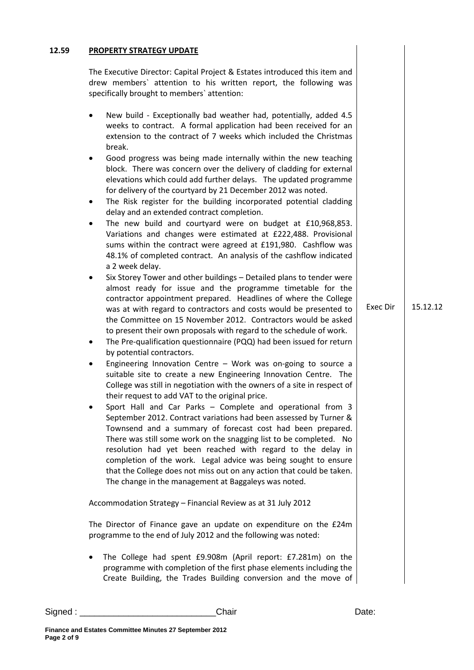#### **12.59 PROPERTY STRATEGY UPDATE**

The Executive Director: Capital Project & Estates introduced this item and drew members` attention to his written report, the following was specifically brought to members` attention:

- New build Exceptionally bad weather had, potentially, added 4.5 weeks to contract. A formal application had been received for an extension to the contract of 7 weeks which included the Christmas break.
- Good progress was being made internally within the new teaching block. There was concern over the delivery of cladding for external elevations which could add further delays. The updated programme for delivery of the courtyard by 21 December 2012 was noted.
- The Risk register for the building incorporated potential cladding delay and an extended contract completion.
- The new build and courtyard were on budget at £10,968,853. Variations and changes were estimated at £222,488. Provisional sums within the contract were agreed at £191,980. Cashflow was 48.1% of completed contract. An analysis of the cashflow indicated a 2 week delay.
- Six Storey Tower and other buildings Detailed plans to tender were almost ready for issue and the programme timetable for the contractor appointment prepared. Headlines of where the College was at with regard to contractors and costs would be presented to the Committee on 15 November 2012. Contractors would be asked to present their own proposals with regard to the schedule of work.
- The Pre-qualification questionnaire (PQQ) had been issued for return by potential contractors.
- Engineering Innovation Centre Work was on-going to source a suitable site to create a new Engineering Innovation Centre. The College was still in negotiation with the owners of a site in respect of their request to add VAT to the original price.
- Sport Hall and Car Parks Complete and operational from 3 September 2012. Contract variations had been assessed by Turner & Townsend and a summary of forecast cost had been prepared. There was still some work on the snagging list to be completed. No resolution had yet been reached with regard to the delay in completion of the work. Legal advice was being sought to ensure that the College does not miss out on any action that could be taken. The change in the management at Baggaleys was noted.

Accommodation Strategy – Financial Review as at 31 July 2012

The Director of Finance gave an update on expenditure on the £24m programme to the end of July 2012 and the following was noted:

• The College had spent £9.908m (April report: £7.281m) on the programme with completion of the first phase elements including the Create Building, the Trades Building conversion and the move of Exec Dir 15.12.12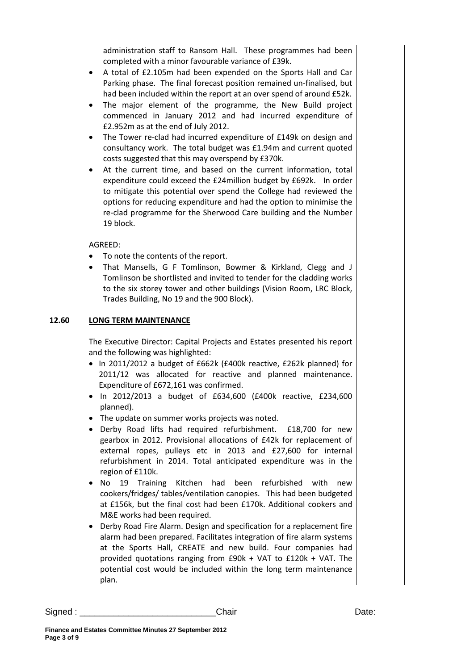administration staff to Ransom Hall. These programmes had been completed with a minor favourable variance of £39k.

- A total of £2.105m had been expended on the Sports Hall and Car Parking phase. The final forecast position remained un-finalised, but had been included within the report at an over spend of around £52k.
- The major element of the programme, the New Build project commenced in January 2012 and had incurred expenditure of £2.952m as at the end of July 2012.
- The Tower re-clad had incurred expenditure of £149k on design and consultancy work. The total budget was £1.94m and current quoted costs suggested that this may overspend by £370k.
- At the current time, and based on the current information, total expenditure could exceed the £24million budget by £692k. In order to mitigate this potential over spend the College had reviewed the options for reducing expenditure and had the option to minimise the re-clad programme for the Sherwood Care building and the Number 19 block.

AGREED:

- To note the contents of the report.
- That Mansells, G F Tomlinson, Bowmer & Kirkland, Clegg and J Tomlinson be shortlisted and invited to tender for the cladding works to the six storey tower and other buildings (Vision Room, LRC Block, Trades Building, No 19 and the 900 Block).

# **12.60 LONG TERM MAINTENANCE**

The Executive Director: Capital Projects and Estates presented his report and the following was highlighted:

- In 2011/2012 a budget of £662k (£400k reactive, £262k planned) for 2011/12 was allocated for reactive and planned maintenance. Expenditure of £672,161 was confirmed.
- In 2012/2013 a budget of £634,600 (£400k reactive, £234,600 planned).
- The update on summer works projects was noted.
- Derby Road lifts had required refurbishment. £18,700 for new gearbox in 2012. Provisional allocations of £42k for replacement of external ropes, pulleys etc in 2013 and £27,600 for internal refurbishment in 2014. Total anticipated expenditure was in the region of £110k.
- No 19 Training Kitchen had been refurbished with new cookers/fridges/ tables/ventilation canopies. This had been budgeted at £156k, but the final cost had been £170k. Additional cookers and M&E works had been required.
- Derby Road Fire Alarm. Design and specification for a replacement fire alarm had been prepared. Facilitates integration of fire alarm systems at the Sports Hall, CREATE and new build. Four companies had provided quotations ranging from £90k + VAT to £120k + VAT. The potential cost would be included within the long term maintenance plan.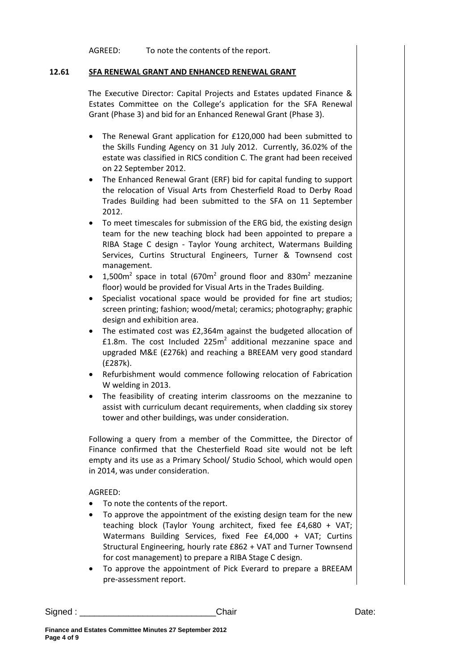AGREED: To note the contents of the report.

### **12.61 SFA RENEWAL GRANT AND ENHANCED RENEWAL GRANT**

The Executive Director: Capital Projects and Estates updated Finance & Estates Committee on the College's application for the SFA Renewal Grant (Phase 3) and bid for an Enhanced Renewal Grant (Phase 3).

- The Renewal Grant application for £120,000 had been submitted to the Skills Funding Agency on 31 July 2012. Currently, 36.02% of the estate was classified in RICS condition C. The grant had been received on 22 September 2012.
- The Enhanced Renewal Grant (ERF) bid for capital funding to support the relocation of Visual Arts from Chesterfield Road to Derby Road Trades Building had been submitted to the SFA on 11 September 2012.
- To meet timescales for submission of the ERG bid, the existing design team for the new teaching block had been appointed to prepare a RIBA Stage C design - Taylor Young architect, Watermans Building Services, Curtins Structural Engineers, Turner & Townsend cost management.
- $1,500m^2$  space in total (670 $m^2$  ground floor and 830 $m^2$  mezzanine floor) would be provided for Visual Arts in the Trades Building.
- Specialist vocational space would be provided for fine art studios; screen printing; fashion; wood/metal; ceramics; photography; graphic design and exhibition area.
- The estimated cost was £2,364m against the budgeted allocation of £1.8m. The cost Included 225 $m<sup>2</sup>$  additional mezzanine space and upgraded M&E (£276k) and reaching a BREEAM very good standard (£287k).
- Refurbishment would commence following relocation of Fabrication W welding in 2013.
- The feasibility of creating interim classrooms on the mezzanine to assist with curriculum decant requirements, when cladding six storey tower and other buildings, was under consideration.

Following a query from a member of the Committee, the Director of Finance confirmed that the Chesterfield Road site would not be left empty and its use as a Primary School/ Studio School, which would open in 2014, was under consideration.

# AGREED:

- To note the contents of the report.
- To approve the appointment of the existing design team for the new teaching block (Taylor Young architect, fixed fee £4,680 + VAT; Watermans Building Services, fixed Fee £4,000 + VAT; Curtins Structural Engineering, hourly rate £862 + VAT and Turner Townsend for cost management) to prepare a RIBA Stage C design.
- To approve the appointment of Pick Everard to prepare a BREEAM pre-assessment report.

Signed : \_\_\_\_\_\_\_\_\_\_\_\_\_\_\_\_\_\_\_\_\_\_\_\_\_\_\_\_Chair Date: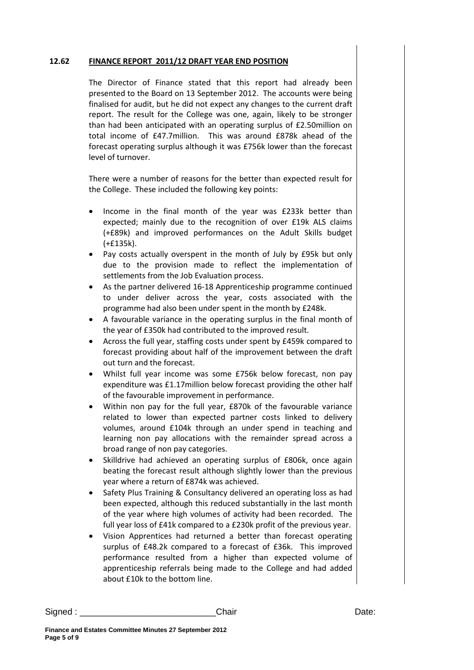#### **12.62 FINANCE REPORT 2011/12 DRAFT YEAR END POSITION**

The Director of Finance stated that this report had already been presented to the Board on 13 September 2012. The accounts were being finalised for audit, but he did not expect any changes to the current draft report. The result for the College was one, again, likely to be stronger than had been anticipated with an operating surplus of £2.50million on total income of £47.7million. This was around £878k ahead of the forecast operating surplus although it was £756k lower than the forecast level of turnover.

There were a number of reasons for the better than expected result for the College. These included the following key points:

- Income in the final month of the year was £233k better than expected; mainly due to the recognition of over £19k ALS claims (+£89k) and improved performances on the Adult Skills budget (+£135k).
- Pay costs actually overspent in the month of July by £95k but only due to the provision made to reflect the implementation of settlements from the Job Evaluation process.
- As the partner delivered 16-18 Apprenticeship programme continued to under deliver across the year, costs associated with the programme had also been under spent in the month by £248k.
- A favourable variance in the operating surplus in the final month of the year of £350k had contributed to the improved result.
- Across the full year, staffing costs under spent by £459k compared to forecast providing about half of the improvement between the draft out turn and the forecast.
- Whilst full year income was some £756k below forecast, non pay expenditure was £1.17million below forecast providing the other half of the favourable improvement in performance.
- Within non pay for the full year, £870k of the favourable variance related to lower than expected partner costs linked to delivery volumes, around £104k through an under spend in teaching and learning non pay allocations with the remainder spread across a broad range of non pay categories.
- Skilldrive had achieved an operating surplus of £806k, once again beating the forecast result although slightly lower than the previous year where a return of £874k was achieved.
- Safety Plus Training & Consultancy delivered an operating loss as had been expected, although this reduced substantially in the last month of the year where high volumes of activity had been recorded. The full year loss of £41k compared to a £230k profit of the previous year.
- Vision Apprentices had returned a better than forecast operating surplus of £48.2k compared to a forecast of £36k. This improved performance resulted from a higher than expected volume of apprenticeship referrals being made to the College and had added about £10k to the bottom line.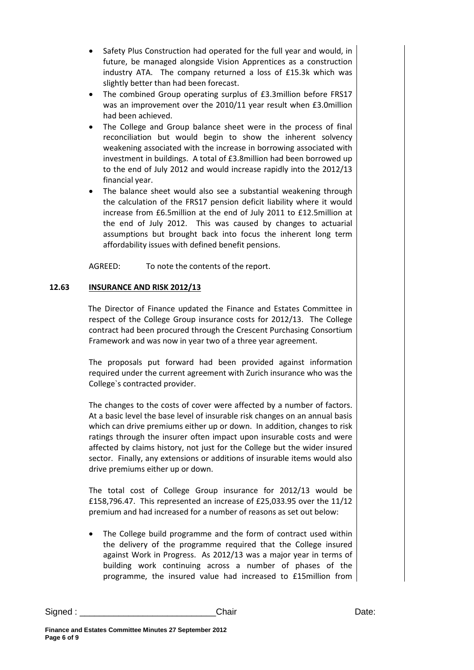- Safety Plus Construction had operated for the full year and would, in future, be managed alongside Vision Apprentices as a construction industry ATA. The company returned a loss of £15.3k which was slightly better than had been forecast.
- The combined Group operating surplus of £3.3million before FRS17 was an improvement over the 2010/11 year result when £3.0million had been achieved.
- The College and Group balance sheet were in the process of final reconciliation but would begin to show the inherent solvency weakening associated with the increase in borrowing associated with investment in buildings. A total of £3.8million had been borrowed up to the end of July 2012 and would increase rapidly into the 2012/13 financial year.
- The balance sheet would also see a substantial weakening through the calculation of the FRS17 pension deficit liability where it would increase from £6.5million at the end of July 2011 to £12.5million at the end of July 2012. This was caused by changes to actuarial assumptions but brought back into focus the inherent long term affordability issues with defined benefit pensions.

AGREED: To note the contents of the report.

# **12.63 INSURANCE AND RISK 2012/13**

The Director of Finance updated the Finance and Estates Committee in respect of the College Group insurance costs for 2012/13. The College contract had been procured through the Crescent Purchasing Consortium Framework and was now in year two of a three year agreement.

The proposals put forward had been provided against information required under the current agreement with Zurich insurance who was the College`s contracted provider.

The changes to the costs of cover were affected by a number of factors. At a basic level the base level of insurable risk changes on an annual basis which can drive premiums either up or down. In addition, changes to risk ratings through the insurer often impact upon insurable costs and were affected by claims history, not just for the College but the wider insured sector. Finally, any extensions or additions of insurable items would also drive premiums either up or down.

The total cost of College Group insurance for 2012/13 would be £158,796.47. This represented an increase of £25,033.95 over the 11/12 premium and had increased for a number of reasons as set out below:

The College build programme and the form of contract used within the delivery of the programme required that the College insured against Work in Progress. As 2012/13 was a major year in terms of building work continuing across a number of phases of the programme, the insured value had increased to £15million from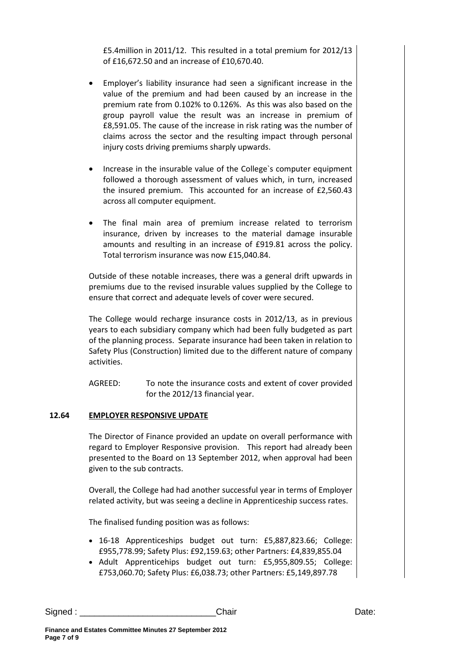£5.4million in 2011/12. This resulted in a total premium for 2012/13 of £16,672.50 and an increase of £10,670.40.

- Employer's liability insurance had seen a significant increase in the value of the premium and had been caused by an increase in the premium rate from 0.102% to 0.126%. As this was also based on the group payroll value the result was an increase in premium of £8,591.05. The cause of the increase in risk rating was the number of claims across the sector and the resulting impact through personal injury costs driving premiums sharply upwards.
- Increase in the insurable value of the College`s computer equipment followed a thorough assessment of values which, in turn, increased the insured premium. This accounted for an increase of £2,560.43 across all computer equipment.
- The final main area of premium increase related to terrorism insurance, driven by increases to the material damage insurable amounts and resulting in an increase of £919.81 across the policy. Total terrorism insurance was now £15,040.84.

Outside of these notable increases, there was a general drift upwards in premiums due to the revised insurable values supplied by the College to ensure that correct and adequate levels of cover were secured.

The College would recharge insurance costs in 2012/13, as in previous years to each subsidiary company which had been fully budgeted as part of the planning process. Separate insurance had been taken in relation to Safety Plus (Construction) limited due to the different nature of company activities.

AGREED: To note the insurance costs and extent of cover provided for the 2012/13 financial year.

# **12.64 EMPLOYER RESPONSIVE UPDATE**

The Director of Finance provided an update on overall performance with regard to Employer Responsive provision. This report had already been presented to the Board on 13 September 2012, when approval had been given to the sub contracts.

Overall, the College had had another successful year in terms of Employer related activity, but was seeing a decline in Apprenticeship success rates.

The finalised funding position was as follows:

- 16-18 Apprenticeships budget out turn: £5,887,823.66; College: £955,778.99; Safety Plus: £92,159.63; other Partners: £4,839,855.04
- Adult Apprenticehips budget out turn: £5,955,809.55; College: £753,060.70; Safety Plus: £6,038.73; other Partners: £5,149,897.78

Signed : \_\_\_\_\_\_\_\_\_\_\_\_\_\_\_\_\_\_\_\_\_\_\_\_\_\_\_\_Chair Date: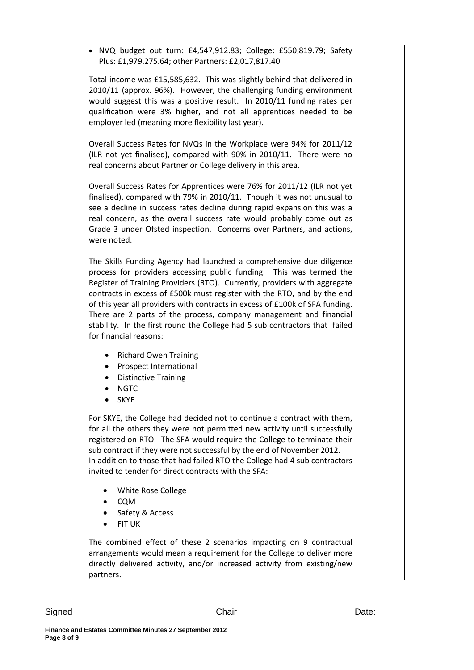• NVQ budget out turn: £4,547,912.83; College: £550,819.79; Safety Plus: £1,979,275.64; other Partners: £2,017,817.40

Total income was £15,585,632. This was slightly behind that delivered in 2010/11 (approx. 96%). However, the challenging funding environment would suggest this was a positive result. In 2010/11 funding rates per qualification were 3% higher, and not all apprentices needed to be employer led (meaning more flexibility last year).

Overall Success Rates for NVQs in the Workplace were 94% for 2011/12 (ILR not yet finalised), compared with 90% in 2010/11. There were no real concerns about Partner or College delivery in this area.

Overall Success Rates for Apprentices were 76% for 2011/12 (ILR not yet finalised), compared with 79% in 2010/11. Though it was not unusual to see a decline in success rates decline during rapid expansion this was a real concern, as the overall success rate would probably come out as Grade 3 under Ofsted inspection. Concerns over Partners, and actions, were noted.

The Skills Funding Agency had launched a comprehensive due diligence process for providers accessing public funding. This was termed the Register of Training Providers (RTO). Currently, providers with aggregate contracts in excess of £500k must register with the RTO, and by the end of this year all providers with contracts in excess of £100k of SFA funding. There are 2 parts of the process, company management and financial stability. In the first round the College had 5 sub contractors that failed for financial reasons:

- Richard Owen Training
- Prospect International
- Distinctive Training
- NGTC
- SKYE

For SKYE, the College had decided not to continue a contract with them, for all the others they were not permitted new activity until successfully registered on RTO. The SFA would require the College to terminate their sub contract if they were not successful by the end of November 2012. In addition to those that had failed RTO the College had 4 sub contractors invited to tender for direct contracts with the SFA:

- White Rose College
- CQM
- Safety & Access
- FIT UK

The combined effect of these 2 scenarios impacting on 9 contractual arrangements would mean a requirement for the College to deliver more directly delivered activity, and/or increased activity from existing/new partners.